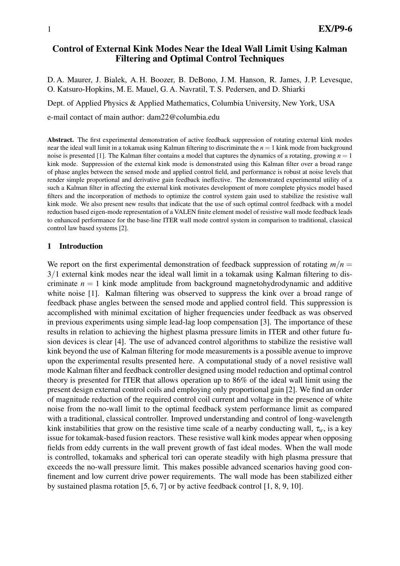# Control of External Kink Modes Near the Ideal Wall Limit Using Kalman Filtering and Optimal Control Techniques

D. A. Maurer, J. Bialek, A. H. Boozer, B. DeBono, J. M. Hanson, R. James, J. P. Levesque, O. Katsuro-Hopkins, M. E. Mauel, G. A. Navratil, T. S. Pedersen, and D. Shiarki

Dept. of Applied Physics & Applied Mathematics, Columbia University, New York, USA

e-mail contact of main author: dam22@columbia.edu

Abstract. The first experimental demonstration of active feedback suppression of rotating external kink modes near the ideal wall limit in a tokamak using Kalman filtering to discriminate the *n* = 1 kink mode from background noise is presented [1]. The Kalman filter contains a model that captures the dynamics of a rotating, growing *n* = 1 kink mode. Suppression of the external kink mode is demonstrated using this Kalman filter over a broad range of phase angles between the sensed mode and applied control field, and performance is robust at noise levels that render simple proportional and derivative gain feedback ineffective. The demonstrated experimental utility of a such a Kalman filter in affecting the external kink motivates development of more complete physics model based filters and the incorporation of methods to optimize the control system gain used to stabilize the resistive wall kink mode. We also present new results that indicate that the use of such optimal control feedback with a model reduction based eigen-mode representation of a VALEN finite element model of resistive wall mode feedback leads to enhanced performance for the base-line ITER wall mode control system in comparison to traditional, classical control law based systems [2].

### 1 Introduction

We report on the first experimental demonstration of feedback suppression of rotating  $m/n =$ 3/1 external kink modes near the ideal wall limit in a tokamak using Kalman filtering to discriminate  $n = 1$  kink mode amplitude from background magnetohydrodynamic and additive white noise [1]. Kalman filtering was observed to suppress the kink over a broad range of feedback phase angles between the sensed mode and applied control field. This suppression is accomplished with minimal excitation of higher frequencies under feedback as was observed in previous experiments using simple lead-lag loop compensation [3]. The importance of these results in relation to achieving the highest plasma pressure limits in ITER and other future fusion devices is clear [4]. The use of advanced control algorithms to stabilize the resistive wall kink beyond the use of Kalman filtering for mode measurements is a possible avenue to improve upon the experimental results presented here. A computational study of a novel resistive wall mode Kalman filter and feedback controller designed using model reduction and optimal control theory is presented for ITER that allows operation up to 86% of the ideal wall limit using the present design external control coils and employing only proportional gain [2]. We find an order of magnitude reduction of the required control coil current and voltage in the presence of white noise from the no-wall limit to the optimal feedback system performance limit as compared with a traditional, classical controller. Improved understanding and control of long-wavelength kink instabilities that grow on the resistive time scale of a nearby conducting wall,  $\tau_w$ , is a key issue for tokamak-based fusion reactors. These resistive wall kink modes appear when opposing fields from eddy currents in the wall prevent growth of fast ideal modes. When the wall mode is controlled, tokamaks and spherical tori can operate steadily with high plasma pressure that exceeds the no-wall pressure limit. This makes possible advanced scenarios having good confinement and low current drive power requirements. The wall mode has been stabilized either by sustained plasma rotation [5, 6, 7] or by active feedback control [1, 8, 9, 10].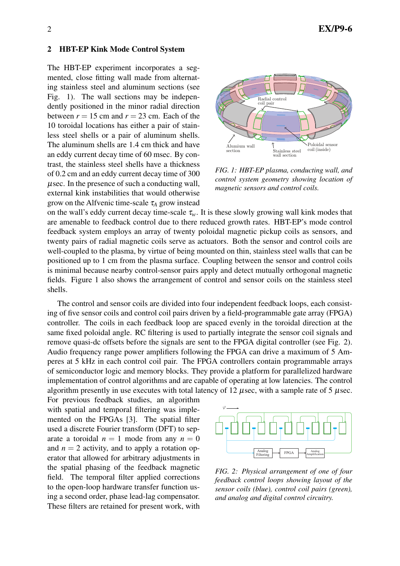### 2 HBT-EP Kink Mode Control System

The HBT-EP experiment incorporates a segmented, close fitting wall made from alternating stainless steel and aluminum sections (see Fig. 1). The wall sections may be independently positioned in the minor radial direction between  $r = 15$  cm and  $r = 23$  cm. Each of the 10 toroidal locations has either a pair of stainless steel shells or a pair of aluminum shells. The aluminum shells are 1.4 cm thick and have an eddy current decay time of 60 msec. By contrast, the stainless steel shells have a thickness of 0.2 cm and an eddy current decay time of 300 µsec. In the presence of such a conducting wall, external kink instabilities that would otherwise grow on the Alfvenic time-scale  $\tau_A$  grow instead



*FIG. 1: HBT-EP plasma, conducting wall, and control system geometry showing location of magnetic sensors and control coils.*

on the wall's eddy current decay time-scale  $\tau_w$ . It is these slowly growing wall kink modes that are amenable to feedback control due to there reduced growth rates. HBT-EP's mode control feedback system employs an array of twenty poloidal magnetic pickup coils as sensors, and twenty pairs of radial magnetic coils serve as actuators. Both the sensor and control coils are well-coupled to the plasma, by virtue of being mounted on thin, stainless steel walls that can be positioned up to 1 cm from the plasma surface. Coupling between the sensor and control coils is minimal because nearby control-sensor pairs apply and detect mutually orthogonal magnetic fields. Figure 1 also shows the arrangement of control and sensor coils on the stainless steel shells.

The control and sensor coils are divided into four independent feedback loops, each consisting of five sensor coils and control coil pairs driven by a field-programmable gate array (FPGA) controller. The coils in each feedback loop are spaced evenly in the toroidal direction at the same fixed poloidal angle. RC filtering is used to partially integrate the sensor coil signals and remove quasi-dc offsets before the signals are sent to the FPGA digital controller (see Fig. 2). Audio frequency range power amplifiers following the FPGA can drive a maximum of 5 Amperes at 5 kHz in each control coil pair. The FPGA controllers contain programmable arrays of semiconductor logic and memory blocks. They provide a platform for parallelized hardware implementation of control algorithms and are capable of operating at low latencies. The control algorithm presently in use executes with total latency of 12  $\mu$ sec, with a sample rate of 5  $\mu$ sec.

For previous feedback studies, an algorithm with spatial and temporal filtering was implemented on the FPGAs [3]. The spatial filter used a discrete Fourier transform (DFT) to separate a toroidal  $n = 1$  mode from any  $n = 0$ and  $n = 2$  activity, and to apply a rotation operator that allowed for arbitrary adjustments in the spatial phasing of the feedback magnetic field. The temporal filter applied corrections to the open-loop hardware transfer function using a second order, phase lead-lag compensator. These filters are retained for present work, with



*FIG. 2: Physical arrangement of one of four feedback control loops showing layout of the sensor coils (blue), control coil pairs (green), and analog and digital control circuitry.*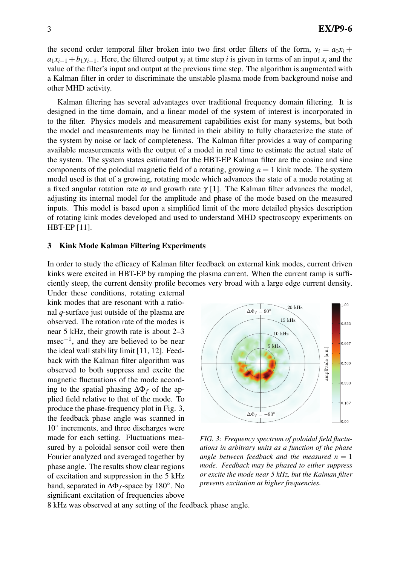the second order temporal filter broken into two first order filters of the form,  $y_i = a_0 x_i +$  $a_1x_{i-1} + b_1y_{i-1}$ . Here, the filtered output  $y_i$  at time step *i* is given in terms of an input  $x_i$  and the value of the filter's input and output at the previous time step. The algorithm is augmented with a Kalman filter in order to discriminate the unstable plasma mode from background noise and other MHD activity.

Kalman filtering has several advantages over traditional frequency domain filtering. It is designed in the time domain, and a linear model of the system of interest is incorporated in to the filter. Physics models and measurement capabilities exist for many systems, but both the model and measurements may be limited in their ability to fully characterize the state of the system by noise or lack of completeness. The Kalman filter provides a way of comparing available measurements with the output of a model in real time to estimate the actual state of the system. The system states estimated for the HBT-EP Kalman filter are the cosine and sine components of the polodial magnetic field of a rotating, growing  $n = 1$  kink mode. The system model used is that of a growing, rotating mode which advances the state of a mode rotating at a fixed angular rotation rate  $\omega$  and growth rate  $\gamma$  [1]. The Kalman filter advances the model, adjusting its internal model for the amplitude and phase of the mode based on the measured inputs. This model is based upon a simplified limit of the more detailed physics description of rotating kink modes developed and used to understand MHD spectroscopy experiments on HBT-EP [11].

#### 3 Kink Mode Kalman Filtering Experiments

In order to study the efficacy of Kalman filter feedback on external kink modes, current driven kinks were excited in HBT-EP by ramping the plasma current. When the current ramp is sufficiently steep, the current density profile becomes very broad with a large edge current density.

Under these conditions, rotating external kink modes that are resonant with a rational *q*-surface just outside of the plasma are observed. The rotation rate of the modes is near 5 kHz, their growth rate is about 2–3 msec−<sup>1</sup> , and they are believed to be near the ideal wall stability limit [11, 12]. Feedback with the Kalman filter algorithm was observed to both suppress and excite the magnetic fluctuations of the mode according to the spatial phasing ∆Φ*<sup>f</sup>* of the applied field relative to that of the mode. To produce the phase-frequency plot in Fig. 3, the feedback phase angle was scanned in 10◦ increments, and three discharges were made for each setting. Fluctuations measured by a poloidal sensor coil were then Fourier analyzed and averaged together by phase angle. The results show clear regions of excitation and suppression in the 5 kHz band, separated in ∆Φ*f*-space by 180◦ . No significant excitation of frequencies above



*FIG. 3: Frequency spectrum of poloidal field fluctuations in arbitrary units as a function of the phase angle between feedback and the measured*  $n = 1$ *mode. Feedback may be phased to either suppress or excite the mode near 5 kHz, but the Kalman filter prevents excitation at higher frequencies.*

8 kHz was observed at any setting of the feedback phase angle.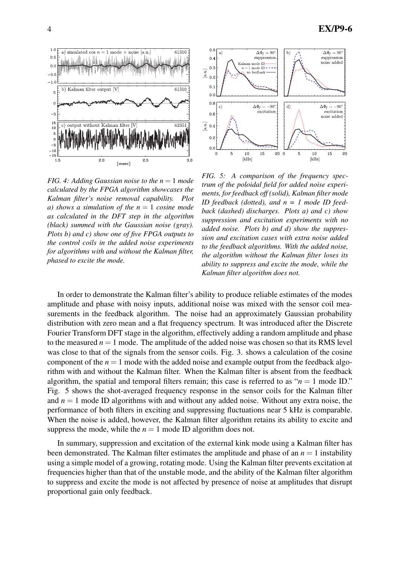

*FIG. 4: Adding Gaussian noise to the*  $n = 1$  *mode calculated by the FPGA algorithm showcases the Kalman filter's noise removal capability. Plot a) shows a simulation of the n* = 1 *cosine mode as calculated in the DFT step in the algorithm (black) summed with the Gaussian noise (gray). Plots b) and c) show one of five FPGA outputs to the control coils in the added noise experiments for algorithms with and without the Kalman filter, phased to excite the mode.*



*FIG. 5: A comparison of the frequency spectrum of the poloidal field for added noise experiments, for feedback off (solid), Kalman filter mode ID feedback (dotted), and n = 1 mode ID feedback (dashed) discharges. Plots a) and c) show suppression and excitation experiments with no added noise. Plots b) and d) show the suppression and excitation cases with extra noise added to the feedback algorithms. With the added noise, the algorithm without the Kalman filter loses its ability to suppress and excite the mode, while the Kalman filter algorithm does not.*

In order to demonstrate the Kalman filter's ability to produce reliable estimates of the modes amplitude and phase with noisy inputs, additional noise was mixed with the sensor coil measurements in the feedback algorithm. The noise had an approximately Gaussian probability distribution with zero mean and a flat frequency spectrum. It was introduced after the Discrete Fourier Transform DFT stage in the algorithm, effectively adding a random amplitude and phase to the measured  $n = 1$  mode. The amplitude of the added noise was chosen so that its RMS level was close to that of the signals from the sensor coils. Fig. 3. shows a calculation of the cosine component of the  $n = 1$  mode with the added noise and example output from the feedback algorithm with and without the Kalman filter. When the Kalman filter is absent from the feedback algorithm, the spatial and temporal filters remain; this case is referred to as " $n = 1$  mode ID." Fig. 5 shows the shot-averaged frequency response in the sensor coils for the Kalman filter and  $n = 1$  mode ID algorithms with and without any added noise. Without any extra noise, the performance of both filters in exciting and suppressing fluctuations near 5 kHz is comparable. When the noise is added, however, the Kalman filter algorithm retains its ability to excite and suppress the mode, while the  $n = 1$  mode ID algorithm does not.

In summary, suppression and excitation of the external kink mode using a Kalman filter has been demonstrated. The Kalman filter estimates the amplitude and phase of an  $n = 1$  instability using a simple model of a growing, rotating mode. Using the Kalman filter prevents excitation at frequencies higher than that of the unstable mode, and the ability of the Kalman filter algorithm to suppress and excite the mode is not affected by presence of noise at amplitudes that disrupt proportional gain only feedback.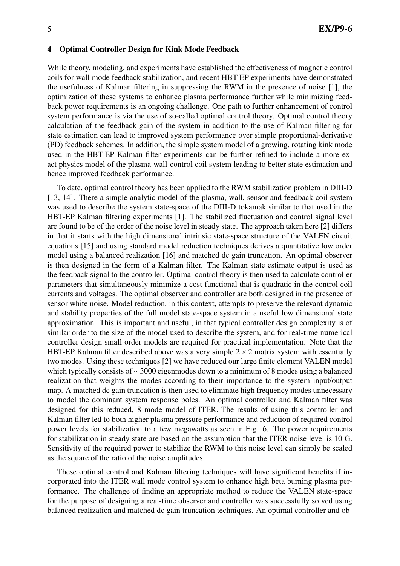## 4 Optimal Controller Design for Kink Mode Feedback

While theory, modeling, and experiments have established the effectiveness of magnetic control coils for wall mode feedback stabilization, and recent HBT-EP experiments have demonstrated the usefulness of Kalman filtering in suppressing the RWM in the presence of noise [1], the optimization of these systems to enhance plasma performance further while minimizing feedback power requirements is an ongoing challenge. One path to further enhancement of control system performance is via the use of so-called optimal control theory. Optimal control theory calculation of the feedback gain of the system in addition to the use of Kalman filtering for state estimation can lead to improved system performance over simple proportional-derivative (PD) feedback schemes. In addition, the simple system model of a growing, rotating kink mode used in the HBT-EP Kalman filter experiments can be further refined to include a more exact physics model of the plasma-wall-control coil system leading to better state estimation and hence improved feedback performance.

To date, optimal control theory has been applied to the RWM stabilization problem in DIII-D [13, 14]. There a simple analytic model of the plasma, wall, sensor and feedback coil system was used to describe the system state-space of the DIII-D tokamak similar to that used in the HBT-EP Kalman filtering experiments [1]. The stabilized fluctuation and control signal level are found to be of the order of the noise level in steady state. The approach taken here [2] differs in that it starts with the high dimensional intrinsic state-space structure of the VALEN circuit equations [15] and using standard model reduction techniques derives a quantitative low order model using a balanced realization [16] and matched dc gain truncation. An optimal observer is then designed in the form of a Kalman filter. The Kalman state estimate output is used as the feedback signal to the controller. Optimal control theory is then used to calculate controller parameters that simultaneously minimize a cost functional that is quadratic in the control coil currents and voltages. The optimal observer and controller are both designed in the presence of sensor white noise. Model reduction, in this context, attempts to preserve the relevant dynamic and stability properties of the full model state-space system in a useful low dimensional state approximation. This is important and useful, in that typical controller design complexity is of similar order to the size of the model used to describe the system, and for real-time numerical controller design small order models are required for practical implementation. Note that the HBT-EP Kalman filter described above was a very simple  $2 \times 2$  matrix system with essentially two modes. Using these techniques [2] we have reduced our large finite element VALEN model which typically consists of ∼3000 eigenmodes down to a minimum of 8 modes using a balanced realization that weights the modes according to their importance to the system input/output map. A matched dc gain truncation is then used to eliminate high frequency modes unnecessary to model the dominant system response poles. An optimal controller and Kalman filter was designed for this reduced, 8 mode model of ITER. The results of using this controller and Kalman filter led to both higher plasma pressure performance and reduction of required control power levels for stabilization to a few megawatts as seen in Fig. 6. The power requirements for stabilization in steady state are based on the assumption that the ITER noise level is 10 G. Sensitivity of the required power to stabilize the RWM to this noise level can simply be scaled as the square of the ratio of the noise amplitudes.

These optimal control and Kalman filtering techniques will have significant benefits if incorporated into the ITER wall mode control system to enhance high beta burning plasma performance. The challenge of finding an appropriate method to reduce the VALEN state-space for the purpose of designing a real-time observer and controller was successfully solved using balanced realization and matched dc gain truncation techniques. An optimal controller and ob-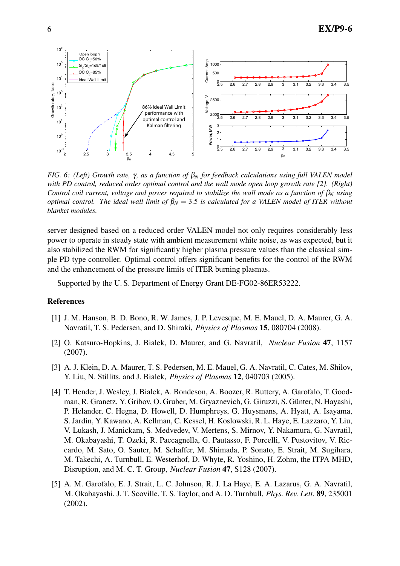

*FIG. 6: (Left) Growth rate,* γ*, as a function of* β*<sup>N</sup> for feedback calculations using full VALEN model with PD control, reduced order optimal control and the wall mode open loop growth rate [2]. (Right) Control coil current, voltage and power required to stabilize the wall mode as a function of*  $β_N$  *using optimal control. The ideal wall limit of*  $\beta_N = 3.5$  *is calculated for a VALEN model of ITER without blanket modules.*

server designed based on a reduced order VALEN model not only requires considerably less power to operate in steady state with ambient measurement white noise, as was expected, but it also stabilized the RWM for significantly higher plasma pressure values than the classical simple PD type controller. Optimal control offers significant benefits for the control of the RWM and the enhancement of the pressure limits of ITER burning plasmas.

Supported by the U. S. Department of Energy Grant DE-FG02-86ER53222.

## References

- [1] J. M. Hanson, B. D. Bono, R. W. James, J. P. Levesque, M. E. Mauel, D. A. Maurer, G. A. Navratil, T. S. Pedersen, and D. Shiraki, *Physics of Plasmas* 15, 080704 (2008).
- [2] O. Katsuro-Hopkins, J. Bialek, D. Maurer, and G. Navratil, *Nuclear Fusion* 47, 1157 (2007).
- [3] A. J. Klein, D. A. Maurer, T. S. Pedersen, M. E. Mauel, G. A. Navratil, C. Cates, M. Shilov, Y. Liu, N. Stillits, and J. Bialek, *Physics of Plasmas* 12, 040703 (2005).
- [4] T. Hender, J. Wesley, J. Bialek, A. Bondeson, A. Boozer, R. Buttery, A. Garofalo, T. Goodman, R. Granetz, Y. Gribov, O. Gruber, M. Gryaznevich, G. Giruzzi, S. Günter, N. Hayashi, P. Helander, C. Hegna, D. Howell, D. Humphreys, G. Huysmans, A. Hyatt, A. Isayama, S. Jardin, Y. Kawano, A. Kellman, C. Kessel, H. Koslowski, R. L. Haye, E. Lazzaro, Y. Liu, V. Lukash, J. Manickam, S. Medvedev, V. Mertens, S. Mirnov, Y. Nakamura, G. Navratil, M. Okabayashi, T. Ozeki, R. Paccagnella, G. Pautasso, F. Porcelli, V. Pustovitov, V. Riccardo, M. Sato, O. Sauter, M. Schaffer, M. Shimada, P. Sonato, E. Strait, M. Sugihara, M. Takechi, A. Turnbull, E. Westerhof, D. Whyte, R. Yoshino, H. Zohm, the ITPA MHD, Disruption, and M. C. T. Group, *Nuclear Fusion* 47, S128 (2007).
- [5] A. M. Garofalo, E. J. Strait, L. C. Johnson, R. J. La Haye, E. A. Lazarus, G. A. Navratil, M. Okabayashi, J. T. Scoville, T. S. Taylor, and A. D. Turnbull, *Phys. Rev. Lett.* 89, 235001 (2002).